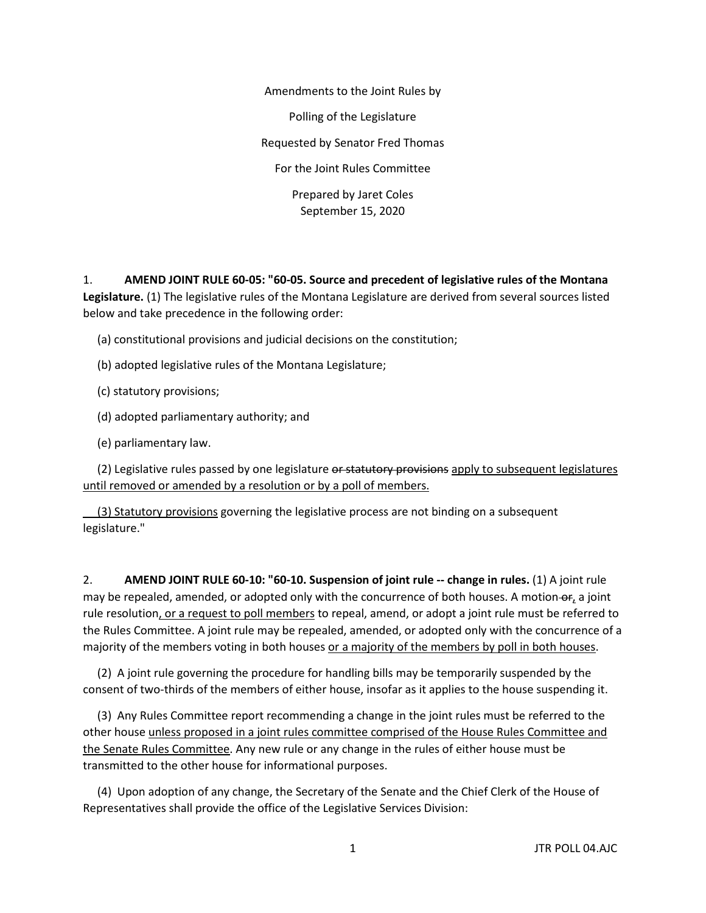Amendments to the Joint Rules by Polling of the Legislature Requested by Senator Fred Thomas For the Joint Rules Committee Prepared by Jaret Coles September 15, 2020

1. **AMEND JOINT RULE 60-05: "60-05. Source and precedent of legislative rules of the Montana Legislature.** (1) The legislative rules of the Montana Legislature are derived from several sources listed below and take precedence in the following order:

(a) constitutional provisions and judicial decisions on the constitution;

- (b) adopted legislative rules of the Montana Legislature;
- (c) statutory provisions;
- (d) adopted parliamentary authority; and
- (e) parliamentary law.

(2) Legislative rules passed by one legislature or statutory provisions apply to subsequent legislatures until removed or amended by a resolution or by a poll of members.

 (3) Statutory provisions governing the legislative process are not binding on a subsequent legislature."

2. **AMEND JOINT RULE 60-10: "60-10. Suspension of joint rule -- change in rules.** (1) A joint rule may be repealed, amended, or adopted only with the concurrence of both houses. A motion of, a joint rule resolution, or a request to poll members to repeal, amend, or adopt a joint rule must be referred to the Rules Committee. A joint rule may be repealed, amended, or adopted only with the concurrence of a majority of the members voting in both houses or a majority of the members by poll in both houses.

 (2) A joint rule governing the procedure for handling bills may be temporarily suspended by the consent of two-thirds of the members of either house, insofar as it applies to the house suspending it.

 (3) Any Rules Committee report recommending a change in the joint rules must be referred to the other house unless proposed in a joint rules committee comprised of the House Rules Committee and the Senate Rules Committee. Any new rule or any change in the rules of either house must be transmitted to the other house for informational purposes.

 (4) Upon adoption of any change, the Secretary of the Senate and the Chief Clerk of the House of Representatives shall provide the office of the Legislative Services Division: